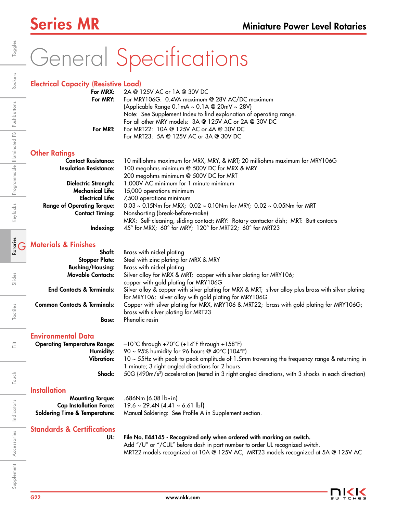# General Specifications

|   | <b>Electrical Capacity (Resistive Load)</b> |                                                                                                      |
|---|---------------------------------------------|------------------------------------------------------------------------------------------------------|
|   | For MRX:                                    | 2A @ 125V AC or 1A @ 30V DC                                                                          |
|   | For MRY:                                    | For MRY106G: 0.4VA maximum @ 28V AC/DC maximum                                                       |
|   |                                             | (Applicable Range 0.1mA ~ 0.1A @ 20mV ~ 28V)                                                         |
|   |                                             | Note: See Supplement Index to find explanation of operating range.                                   |
|   |                                             | For all other MRY models: 3A @ 125V AC or 2A @ 30V DC                                                |
|   | For MRT:                                    | For MRT22: 10A @ 125V AC or 4A @ 30V DC                                                              |
|   |                                             | For MRT23: 5A @ 125V AC or 3A @ 30V DC                                                               |
|   | <b>Other Ratings</b>                        |                                                                                                      |
|   | <b>Contact Resistance:</b>                  | 10 milliohms maximum for MRX, MRY, & MRT; 20 milliohms maximum for MRY106G                           |
|   | <b>Insulation Resistance:</b>               | 100 megohms minimum @ 500V DC for MRX & MRY                                                          |
|   |                                             | 200 megohms minimum @ 500V DC for MRT                                                                |
|   | Dielectric Strength:                        | 1,000V AC minimum for 1 minute minimum                                                               |
|   | <b>Mechanical Life:</b>                     | 15,000 operations minimum                                                                            |
|   | <b>Electrical Life:</b>                     | 7,500 operations minimum                                                                             |
|   | <b>Range of Operating Torque:</b>           | $0.03 \sim 0.15$ Nm for MRX; $0.02 \sim 0.10$ Nm for MRY; $0.02 \sim 0.05$ Nm for MRT                |
|   | <b>Contact Timing:</b>                      | Nonshorting (break-before-make)                                                                      |
|   |                                             | MRX: Self-cleaning, sliding contact; MRY: Rotary contactor dish; MRT: Butt contacts                  |
|   | Indexing:                                   | 45° for MRX; 60° for MRY; 120° for MRT22; 60° for MRT23                                              |
|   |                                             |                                                                                                      |
| G | <b>Materials &amp; Finishes</b>             |                                                                                                      |
|   | Shaft:                                      | Brass with nickel plating                                                                            |
|   | <b>Stopper Plate:</b>                       | Steel with zinc plating for MRX & MRY                                                                |
|   | <b>Bushing/Housing:</b>                     | Brass with nickel plating                                                                            |
|   | <b>Movable Contacts:</b>                    | Silver alloy for MRX & MRT; copper with silver plating for MRY106;                                   |
|   |                                             | copper with gold plating for MRY106G                                                                 |
|   | <b>End Contacts &amp; Terminals:</b>        | Silver alloy & copper with silver plating for MRX & MRT; silver alloy plus brass with silver plating |
|   |                                             | for MRY106; silver alloy with gold plating for MRY106G                                               |
|   | <b>Common Contacts &amp; Terminals:</b>     | Copper with silver plating for MRX, MRY106 & MRT22; brass with gold plating for MRY106G;             |

### Environmental Data

Operating Temperature Range: –10°C through +70°C (+14°F through +158°F) **Humidity:** 90 ~ 95% humidity for 96 hours @ 40°C (104°F) Vibration: 10 ~ 55Hz with peak-to-peak amplitude of 1.5mm traversing the frequency range & returning in 1 minute; 3 right angled directions for 2 hours Shock: 50G (490m/s<sup>2</sup>) acceleration (tested in 3 right angled directions, with 3 shocks in each direction)

### **Installation**

| <b>Mounting Torque:</b> | .686Nm (6.08 lb•in)                                                                  |  |  |  |
|-------------------------|--------------------------------------------------------------------------------------|--|--|--|
|                         | <b>Cap Installation Force:</b> $19.6 \sim 29.4N (4.41 \sim 6.61 \text{ lbf})$        |  |  |  |
|                         | Soldering Time & Temperature: Manual Soldering: See Profile A in Supplement section. |  |  |  |

Base: Phenolic resin

brass with silver plating for MRT23

## Standards & Certifications

UL: File No. E44145 - Recognized only when ordered with marking on switch. Add "/U" or "/CUL" before dash in part number to order UL recognized switch.

MRT22 models recognized at 10A @ 125V AC; MRT23 models recognized at 5A @ 125V AC

言

Accessories

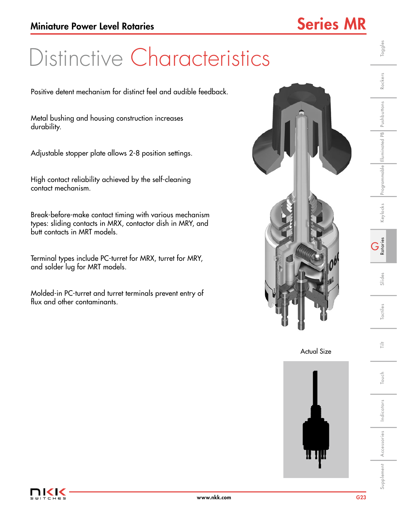# Distinctive Characteristics

Positive detent mechanism for distinct feel and audible feedback.

Metal bushing and housing construction increases durability.

Adjustable stopper plate allows 2-8 position settings.

High contact reliability achieved by the self-cleaning contact mechanism.

Break-before-make contact timing with various mechanism types: sliding contacts in MRX, contactor dish in MRY, and butt contacts in MRT models.

Terminal types include PC-turret for MRX, turret for MRY, and solder lug for MRT models.

Molded-in PC-turret and turret terminals prevent entry of flux and other contaminants.







Indicators

Supplement Accessories Indicators I Touch I Tactiles I Slides I **Rotaries I** Keylocks Programmable Illuminated Pushbuttons Rockers I Toggles

Slides

Tactiles

言

Touch

Toggles

Rockers

Keylocks Programmable Illuminated PB Pushbuttons

G Rotaries

Accessories

Supplement Accessories Indicators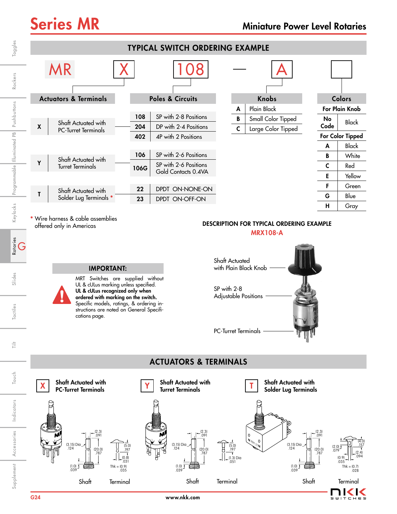

**\*** Wire harness & cable assemblies offered only in Americas

IMPORTANT:

cations page.

MRT Switches are supplied without UL & cULus marking unless specified. UL & cULus recognized only when ordered with marking on the switch. Specific models, ratings, & ordering instructions are noted on General Specifi-

### DESCRIPTION FOR TYPICAL ORDERING EXAMPLE

MRX108-A



### ACTUATORS & TERMINALS



Retaries<br>G

Touch

Indicators

Indicators

Accessories

Supplement Accessories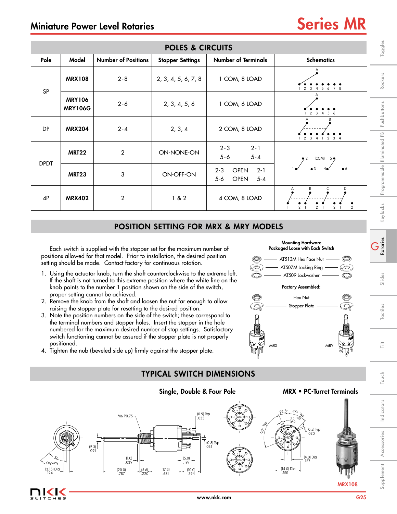## Miniature Power Level Rotaries Series MR

| <b>POLES &amp; CIRCUITS</b>                                                                                                                                                                                                                                                                                                                                                                                                                                                                                                                                                                                                                                                                                                                                                                                                                                                                                                                                                                                                                                                                                                                                                                                                                                                                                                                  |                                 |                                                                                                                   |                                                                                                     |                                                                      |                                                                                                        |                                         |  |  |
|----------------------------------------------------------------------------------------------------------------------------------------------------------------------------------------------------------------------------------------------------------------------------------------------------------------------------------------------------------------------------------------------------------------------------------------------------------------------------------------------------------------------------------------------------------------------------------------------------------------------------------------------------------------------------------------------------------------------------------------------------------------------------------------------------------------------------------------------------------------------------------------------------------------------------------------------------------------------------------------------------------------------------------------------------------------------------------------------------------------------------------------------------------------------------------------------------------------------------------------------------------------------------------------------------------------------------------------------|---------------------------------|-------------------------------------------------------------------------------------------------------------------|-----------------------------------------------------------------------------------------------------|----------------------------------------------------------------------|--------------------------------------------------------------------------------------------------------|-----------------------------------------|--|--|
| Pole                                                                                                                                                                                                                                                                                                                                                                                                                                                                                                                                                                                                                                                                                                                                                                                                                                                                                                                                                                                                                                                                                                                                                                                                                                                                                                                                         | Model                           | <b>Number of Positions</b>                                                                                        | <b>Stopper Settings</b>                                                                             | <b>Number of Terminals</b>                                           | <b>Schematics</b>                                                                                      | Toggles                                 |  |  |
| SP                                                                                                                                                                                                                                                                                                                                                                                                                                                                                                                                                                                                                                                                                                                                                                                                                                                                                                                                                                                                                                                                                                                                                                                                                                                                                                                                           | <b>MRX108</b>                   | $2 - 8$                                                                                                           | 2, 3, 4, 5, 6, 7, 8                                                                                 | 1 COM, 8 LOAD                                                        | 1 2 3 4 5 6 7 8                                                                                        | Rockers                                 |  |  |
|                                                                                                                                                                                                                                                                                                                                                                                                                                                                                                                                                                                                                                                                                                                                                                                                                                                                                                                                                                                                                                                                                                                                                                                                                                                                                                                                              | <b>MRY106</b><br><b>MRY106G</b> | $2 - 6$                                                                                                           | 2, 3, 4, 5, 6                                                                                       | 1 COM, 6 LOAD                                                        | 2<br>$\overline{3}$<br>$\overline{4}$<br>56                                                            | Pushbuttons                             |  |  |
| DP                                                                                                                                                                                                                                                                                                                                                                                                                                                                                                                                                                                                                                                                                                                                                                                                                                                                                                                                                                                                                                                                                                                                                                                                                                                                                                                                           | <b>MRX204</b>                   | $2 - 4$                                                                                                           | 2, 3, 4                                                                                             | 2 COM, 8 LOAD                                                        |                                                                                                        |                                         |  |  |
| <b>DPDT</b>                                                                                                                                                                                                                                                                                                                                                                                                                                                                                                                                                                                                                                                                                                                                                                                                                                                                                                                                                                                                                                                                                                                                                                                                                                                                                                                                  | <b>MRT22</b>                    | $\overline{2}$                                                                                                    | ON-NONE-ON                                                                                          | $2 - 3$<br>$2 - 1$<br>$5 - 6$<br>$5 - 4$                             |                                                                                                        |                                         |  |  |
|                                                                                                                                                                                                                                                                                                                                                                                                                                                                                                                                                                                                                                                                                                                                                                                                                                                                                                                                                                                                                                                                                                                                                                                                                                                                                                                                              | <b>MRT23</b>                    | 3                                                                                                                 | ON-OFF-ON                                                                                           | $2 - 1$<br><b>OPEN</b><br>$2 - 3$<br><b>OPEN</b><br>$5-6$<br>$5 - 4$ |                                                                                                        | Programmable Illuminated PB             |  |  |
| 4P                                                                                                                                                                                                                                                                                                                                                                                                                                                                                                                                                                                                                                                                                                                                                                                                                                                                                                                                                                                                                                                                                                                                                                                                                                                                                                                                           | <b>MRX402</b>                   | 2                                                                                                                 | 1 & 82                                                                                              | 4 COM, 8 LOAD                                                        |                                                                                                        |                                         |  |  |
|                                                                                                                                                                                                                                                                                                                                                                                                                                                                                                                                                                                                                                                                                                                                                                                                                                                                                                                                                                                                                                                                                                                                                                                                                                                                                                                                              |                                 |                                                                                                                   |                                                                                                     | <b>POSITION SETTING FOR MRX &amp; MRY MODELS</b>                     |                                                                                                        | Keylocks                                |  |  |
| G<br>Rotaries<br>Packaged Loose with Each Switch<br>Each switch is supplied with the stopper set for the maximum number of<br>positions allowed for that model. Prior to installation, the desired position<br>O<br>AT513M Hex Face Nut<br>O<br>setting should be made. Contact factory for continuous rotation.<br>O)<br>AT507M Locking Ring<br>6D)<br>1. Using the actuator knob, turn the shaft counterclockwise to the extreme left.<br>AT509 Lockwasher<br>If the shaft is not turned to this extreme position where the white line on the<br><b>Factory Assembled:</b><br>knob points to the number 1 position shown on the side of the switch,<br>proper setting cannot be achieved.<br>$-$ Hex Nut $-$<br>O<br>2. Remove the knob from the shaft and loosen the nut far enough to allow<br><u>R</u><br>Stopper Plate -<br>Ś<br>raising the stopper plate for resetting to the desired position.<br>3. Note the position numbers on the side of the switch; these correspond to<br>the terminal numbers and stopper holes. Insert the stopper in the hole<br>numbered for the maximum desired number of stop settings. Satisfactory<br>switch functioning cannot be assured if the stopper plate is not properly<br>positioned.<br><b>MRX</b><br><b>MRY</b><br>4. Tighten the nub (beveled side up) firmly against the stopper plate. |                                 |                                                                                                                   |                                                                                                     |                                                                      |                                                                                                        |                                         |  |  |
|                                                                                                                                                                                                                                                                                                                                                                                                                                                                                                                                                                                                                                                                                                                                                                                                                                                                                                                                                                                                                                                                                                                                                                                                                                                                                                                                              |                                 |                                                                                                                   | <b>TYPICAL SWITCH DIMENSIONS</b>                                                                    |                                                                      |                                                                                                        | Touch                                   |  |  |
|                                                                                                                                                                                                                                                                                                                                                                                                                                                                                                                                                                                                                                                                                                                                                                                                                                                                                                                                                                                                                                                                                                                                                                                                                                                                                                                                              |                                 |                                                                                                                   | Single, Double & Four Pole                                                                          |                                                                      | <b>MRX • PC-Turret Terminals</b>                                                                       |                                         |  |  |
| Keyway<br>$(3.15)$ Dia<br>.124                                                                                                                                                                                                                                                                                                                                                                                                                                                                                                                                                                                                                                                                                                                                                                                                                                                                                                                                                                                                                                                                                                                                                                                                                                                                                                               |                                 | M6 P0.75<br>$\begin{bmatrix} 2.3 \\ 0.91 \end{bmatrix}$<br>$(1.0)$<br>.039<br>$(5.6)$<br>.220<br>$(20.0)$<br>.787 | (0.9) Typ<br>.035<br>$\left  \frac{(5.0)}{.197} \right $ $+$<br>$(17.3)$ .681<br>$^{(10.0)}_{.394}$ | 90° R<br>$(0.8)$ Typ $0.31$                                          | $(1.5)$ Typ<br>.059<br>.(0.5) Typ<br>.020<br>(4.0) Dia<br>.157<br>$(14.0)$ Dia _ .551<br><b>MRX108</b> | Indicators<br>Accessories<br>Supplement |  |  |

### POSITION SETTING FOR MRX & MRY MODELS

- 1. Using the actuator knob, turn the shaft counterclockwise to the extreme left. If the shaft is not turned to this extreme position where the white line on the knob points to the number 1 position shown on the side of the switch, proper setting cannot be achieved.
- 2. Remove the knob from the shaft and loosen the nut far enough to allow raising the stopper plate for resetting to the desired position.
- 3. Note the position numbers on the side of the switch; these correspond to the terminal numbers and stopper holes. Insert the stopper in the hole numbered for the maximum desired number of stop settings. Satisfactory switch functioning cannot be assured if the stopper plate is not properly positioned.
- 4. Tighten the nub (beveled side up) firmly against the stopper plate.

 $CHE$ 









Supplement

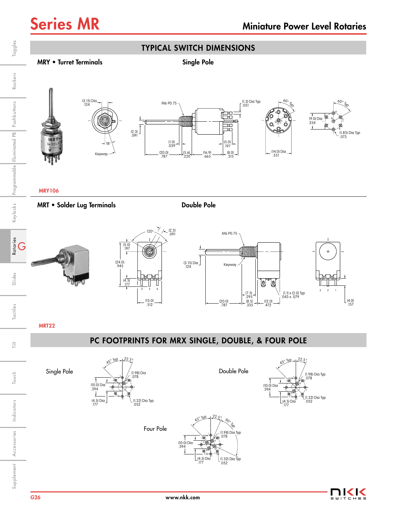